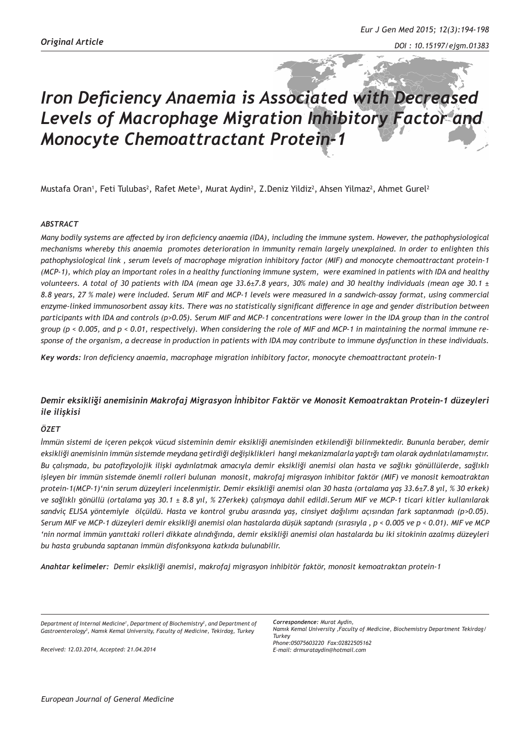# *Iron Deficiency Anaemia is Associated with Decreased Levels of Macrophage Migration Inhibitory Factor and Monocyte Chemoattractant Protein-1*

Mustafa Oran', Feti Tulubas<sup>2</sup>, Rafet Mete<sup>3</sup>, Murat Aydin<sup>2</sup>, Z.Deniz Yildiz<sup>2</sup>, Ahsen Yilmaz<sup>2</sup>, Ahmet Gurel<sup>2</sup>

### *ABSTRACT*

*Many bodily systems are affected by iron deficiency anaemia (IDA), including the immune system. However, the pathophysiological mechanisms whereby this anaemia promotes deterioration in immunity remain largely unexplained. In order to enlighten this pathophysiological link , serum levels of macrophage migration inhibitory factor (MIF) and monocyte chemoattractant protein-1 (MCP-1), which play an important roles in a healthy functioning immune system, were examined in patients with IDA and healthy volunteers. A total of 30 patients with IDA (mean age 33.6±7.8 years, 30% male) and 30 healthy individuals (mean age 30.1 ± 8.8 years, 27 % male) were included. Serum MIF and MCP-1 levels were measured in a sandwich-assay format, using commercial enzyme-linked immunosorbent assay kits. There was no statistically significant difference in age and gender distribution between participants with IDA and controls (p>0.05). Serum MIF and MCP-1 concentrations were lower in the IDA group than in the control group (p < 0.005, and p < 0.01, respectively). When considering the role of MIF and MCP-1 in maintaining the normal immune response of the organism, a decrease in production in patients with IDA may contribute to immune dysfunction in these individuals.*

*Key words: Iron deficiency anaemia, macrophage migration inhibitory factor, monocyte chemoattractant protein-1* 

# *Demir eksikliği anemisinin Makrofaj Migrasyon İnhibitor Faktör ve Monosit Kemoatraktan Protein-1 düzeyleri ile ilişkisi*

## *ÖZET*

*İmmün sistemi de içeren pekçok vücud sisteminin demir eksikliği anemisinden etkilendiği bilinmektedir. Bununla beraber, demir eksikliği anemisinin immün sistemde meydana getirdiği değişiklikleri hangi mekanizmalarla yaptığı tam olarak aydınlatılamamıştır. Bu çalışmada, bu patofizyolojik ilişki aydınlatmak amacıyla demir eksikliği anemisi olan hasta ve sağlıkı gönüllülerde, sağlıklı işleyen bir immün sistemde önemli rolleri bulunan monosit, makrofaj migrasyon inhibitor faktör (MIF) ve monosit kemoatraktan protein-1(MCP-1)'nin serum düzeyleri incelenmiştir. Demir eksikliği anemisi olan 30 hasta (ortalama yaş 33.6±7.8 yıl, % 30 erkek) ve sağlıklı gönüllü (ortalama yaş 30.1 ± 8.8 yıl, % 27erkek) çalışmaya dahil edildi.Serum MIF ve MCP-1 ticari kitler kullanılarak sandviç ELISA yöntemiyle ölçüldü. Hasta ve kontrol grubu arasında yaş, cinsiyet dağılımı açısından fark saptanmadı (p>0.05). Serum MIF ve MCP-1 düzeyleri demir eksikliği anemisi olan hastalarda düşük saptandı (sırasıyla , p < 0.005 ve p < 0.01). MIF ve MCP 'nin normal immün yanıttaki rolleri dikkate alındığında, demir eksikliği anemisi olan hastalarda bu iki sitokinin azalmış düzeyleri bu hasta grubunda saptanan immün disfonksyona katkıda bulunabilir.*

*Anahtar kelimeler: Demir eksikliği anemisi, makrofaj migrasyon inhibitör faktör, monosit kemoatraktan protein-1* 

*Department of Internal Medicine1 , Department of Biochemistry2 , and Department of Gastroenterology3 , Namık Kemal University, Faculty of Medicine, Tekirdag, Turkey* 

*Received: 12.03.2014, Accepted: 21.04.2014*

*Correspondence: Murat Aydin, Namık Kemal University ,Faculty of Medicine, Biochemistry Department Tekirdag/ Turkey Phone:05075603220 Fax:02822505162*

*E-mail: drmurataydin@hotmail.com*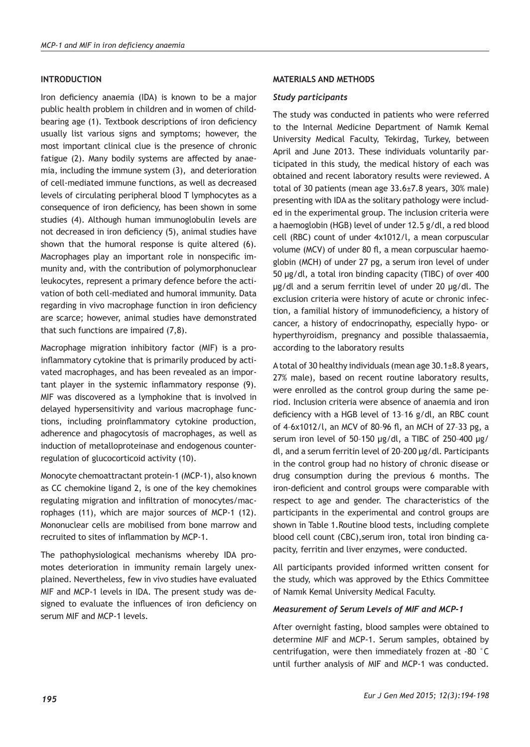## **INTRODUCTION**

Iron deficiency anaemia (IDA) is known to be a major public health problem in children and in women of childbearing age (1). Textbook descriptions of iron deficiency usually list various signs and symptoms; however, the most important clinical clue is the presence of chronic fatigue (2). Many bodily systems are affected by anaemia, including the immune system (3), and deterioration of cell-mediated immune functions, as well as decreased levels of circulating peripheral blood T lymphocytes as a consequence of iron deficiency, has been shown in some studies (4). Although human immunoglobulin levels are not decreased in iron deficiency (5), animal studies have shown that the humoral response is quite altered (6). Macrophages play an important role in nonspecific immunity and, with the contribution of polymorphonuclear leukocytes, represent a primary defence before the activation of both cell-mediated and humoral immunity. Data regarding in vivo macrophage function in iron deficiency are scarce; however, animal studies have demonstrated that such functions are impaired (7,8).

Macrophage migration inhibitory factor (MIF) is a proinflammatory cytokine that is primarily produced by activated macrophages, and has been revealed as an important player in the systemic inflammatory response (9). MIF was discovered as a lymphokine that is involved in delayed hypersensitivity and various macrophage functions, including proinflammatory cytokine production, adherence and phagocytosis of macrophages, as well as induction of metalloproteinase and endogenous counterregulation of glucocorticoid activity (10).

Monocyte chemoattractant protein-1 (MCP-1), also known as CC chemokine ligand 2, is one of the key chemokines regulating migration and infiltration of monocytes/macrophages (11), which are major sources of MCP-1 (12). Mononuclear cells are mobilised from bone marrow and recruited to sites of inflammation by MCP-1.

The pathophysiological mechanisms whereby IDA promotes deterioration in immunity remain largely unexplained. Nevertheless, few in vivo studies have evaluated MIF and MCP-1 levels in IDA. The present study was designed to evaluate the influences of iron deficiency on serum MIF and MCP-1 levels.

## **MATERIALS AND METHODS**

#### *Study participants*

The study was conducted in patients who were referred to the Internal Medicine Department of Namık Kemal University Medical Faculty, Tekirdag, Turkey, between April and June 2013. These individuals voluntarily participated in this study, the medical history of each was obtained and recent laboratory results were reviewed. A total of 30 patients (mean age 33.6±7.8 years, 30% male) presenting with IDA as the solitary pathology were included in the experimental group. The inclusion criteria were a haemoglobin (HGB) level of under 12.5 g/dl, a red blood cell (RBC) count of under 4x1012/l, a mean corpuscular volume (MCV) of under 80 fl, a mean corpuscular haemoglobin (MCH) of under 27 pg, a serum iron level of under 50 μg/dl, a total iron binding capacity (TIBC) of over 400 μg/dl and a serum ferritin level of under 20 μg/dl. The exclusion criteria were history of acute or chronic infection, a familial history of immunodeficiency, a history of cancer, a history of endocrinopathy, especially hypo- or hyperthyroidism, pregnancy and possible thalassaemia, according to the laboratory results

A total of 30 healthy individuals (mean age 30.1±8.8 years, 27% male), based on recent routine laboratory results, were enrolled as the control group during the same period. Inclusion criteria were absence of anaemia and iron deficiency with a HGB level of 13–16 g/dl, an RBC count of 4–6x1012/l, an MCV of 80–96 fl, an MCH of 27–33 pg, a serum iron level of 50–150 μg/dl, a TIBC of 250–400 μg/ dl, and a serum ferritin level of 20–200 μg/dl. Participants in the control group had no history of chronic disease or drug consumption during the previous 6 months. The iron-deficient and control groups were comparable with respect to age and gender. The characteristics of the participants in the experimental and control groups are shown in Table 1.Routine blood tests, including complete blood cell count (CBC),serum iron, total iron binding capacity, ferritin and liver enzymes, were conducted.

All participants provided informed written consent for the study, which was approved by the Ethics Committee of Namık Kemal University Medical Faculty.

#### *Measurement of Serum Levels of MIF and MCP-1*

After overnight fasting, blood samples were obtained to determine MIF and MCP-1. Serum samples, obtained by centrifugation, were then immediately frozen at -80 °C until further analysis of MIF and MCP-1 was conducted.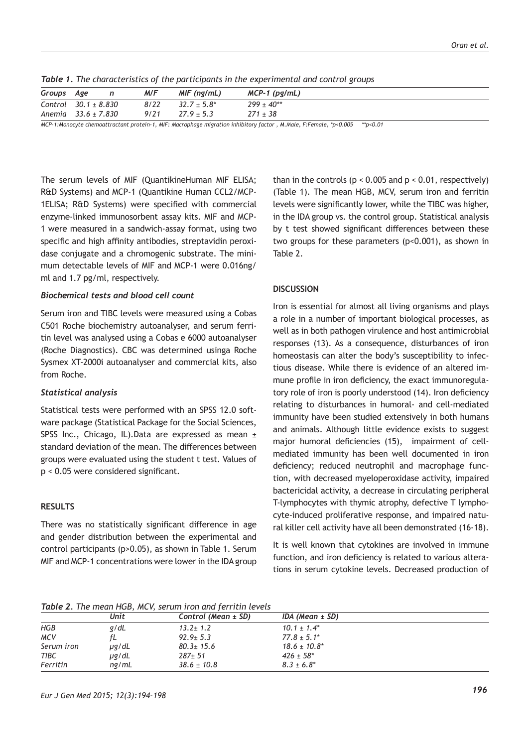| Groups Age |                          | M/F  | MIF (ng/mL)      | $MCP-1$ (pg/mL)   |
|------------|--------------------------|------|------------------|-------------------|
|            | Control $30.1 \pm 8.830$ | 8/22 | $32.7 \pm 5.8^*$ | $299 \pm 40^{**}$ |
|            | Anemia $33.6 \pm 7.830$  | 9/21 | $27.9 \pm 5.3$   | $271 \pm 38$      |

*Table 1. The characteristics of the participants in the experimental and control groups*

*MCP-1:Monocyte chemoattractant protein-1, MIF: Macrophage migration inhibitory factor , M.Male, F:Female, \*p<0.005 \*\*p<0.01*

The serum levels of MIF (QuantikineHuman MIF ELISA; R&D Systems) and MCP-1 (Quantikine Human CCL2/MCP-1ELISA; R&D Systems) were specified with commercial enzyme-linked immunosorbent assay kits. MIF and MCP-1 were measured in a sandwich-assay format, using two specific and high affinity antibodies, streptavidin peroxidase conjugate and a chromogenic substrate. The minimum detectable levels of MIF and MCP-1 were 0.016ng/ ml and 1.7 pg/ml, respectively.

## *Biochemical tests and blood cell count*

Serum iron and TIBC levels were measured using a Cobas C501 Roche biochemistry autoanalyser, and serum ferritin level was analysed using a Cobas e 6000 autoanalyser (Roche Diagnostics). CBC was determined usinga Roche Sysmex XT-2000i autoanalyser and commercial kits, also from Roche.

## *Statistical analysis*

Statistical tests were performed with an SPSS 12.0 software package (Statistical Package for the Social Sciences, SPSS Inc., Chicago, IL).Data are expressed as mean ± standard deviation of the mean. The differences between groups were evaluated using the student t test. Values of p < 0.05 were considered significant.

## **RESULTS**

There was no statistically significant difference in age and gender distribution between the experimental and control participants (p>0.05), as shown in Table 1. Serum MIF and MCP-1 concentrations were lower in the IDA group than in the controls ( $p < 0.005$  and  $p < 0.01$ , respectively) (Table 1). The mean HGB, MCV, serum iron and ferritin levels were significantly lower, while the TIBC was higher, in the IDA group vs. the control group. Statistical analysis by t test showed significant differences between these two groups for these parameters (p<0.001), as shown in Table 2.

## **DISCUSSION**

Iron is essential for almost all living organisms and plays a role in a number of important biological processes, as well as in both pathogen virulence and host antimicrobial responses (13). As a consequence, disturbances of iron homeostasis can alter the body's susceptibility to infectious disease. While there is evidence of an altered immune profile in iron deficiency, the exact immunoregulatory role of iron is poorly understood (14). Iron deficiency relating to disturbances in humoral- and cell-mediated immunity have been studied extensively in both humans and animals. Although little evidence exists to suggest major humoral deficiencies (15), impairment of cellmediated immunity has been well documented in iron deficiency; reduced neutrophil and macrophage function, with decreased myeloperoxidase activity, impaired bactericidal activity, a decrease in circulating peripheral T-lymphocytes with thymic atrophy, defective T lymphocyte-induced proliferative response, and impaired natural killer cell activity have all been demonstrated (16-18).

It is well known that cytokines are involved in immune function, and iron deficiency is related to various alterations in serum cytokine levels. Decreased production of

*Table 2. The mean HGB, MCV, serum iron and ferritin levels*

|            | Unit       | Control (Mean $\pm$ SD) | IDA (Mean $\pm$ SD) |  |  |  |  |  |
|------------|------------|-------------------------|---------------------|--|--|--|--|--|
| <b>HGB</b> | g/dL       | $13.2 \pm 1.2$          | $10.1 \pm 1.4^*$    |  |  |  |  |  |
| <b>MCV</b> | fL         | $92.9 \pm 5.3$          | $77.8 \pm 5.1^*$    |  |  |  |  |  |
| Serum iron | $\mu$ g/dL | $80.3 \pm 15.6$         | $18.6 \pm 10.8^*$   |  |  |  |  |  |
| TIBC       | µg/dL      | $287 \pm 51$            | $426 \pm 58$ *      |  |  |  |  |  |
| Ferritin   | nq/mL      | $38.6 \pm 10.8$         | $8.3 \pm 6.8^*$     |  |  |  |  |  |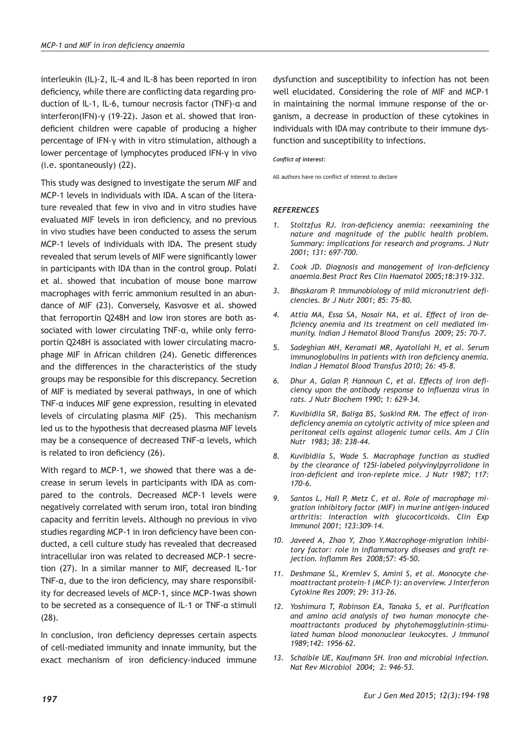interleukin (IL)-2, IL-4 and IL-8 has been reported in iron deficiency, while there are conflicting data regarding production of IL-1, IL-6, tumour necrosis factor (TNF)-α and interferon(IFN)-γ (19-22). Jason et al. showed that irondeficient children were capable of producing a higher percentage of IFN-γ with in vitro stimulation, although a lower percentage of lymphocytes produced IFN-γ in vivo (i.e. spontaneously) (22).

This study was designed to investigate the serum MIF and MCP-1 levels in individuals with IDA. A scan of the literature revealed that few in vivo and in vitro studies have evaluated MIF levels in iron deficiency, and no previous in vivo studies have been conducted to assess the serum MCP-1 levels of individuals with IDA. The present study revealed that serum levels of MIF were significantly lower in participants with IDA than in the control group. Polati et al. showed that incubation of mouse bone marrow macrophages with ferric ammonium resulted in an abundance of MIF (23). Conversely, Kasvosve et al. showed that ferroportin Q248H and low iron stores are both associated with lower circulating TNF-α, while only ferroportin Q248H is associated with lower circulating macrophage MIF in African children (24). Genetic differences and the differences in the characteristics of the study groups may be responsible for this discrepancy. Secretion of MIF is mediated by several pathways, in one of which TNF-α induces MIF gene expression, resulting in elevated levels of circulating plasma MIF (25). This mechanism led us to the hypothesis that decreased plasma MIF levels may be a consequence of decreased TNF-α levels, which is related to iron deficiency (26).

With regard to MCP-1, we showed that there was a decrease in serum levels in participants with IDA as compared to the controls. Decreased MCP-1 levels were negatively correlated with serum iron, total iron binding capacity and ferritin levels. Although no previous in vivo studies regarding MCP-1 in iron deficiency have been conducted, a cell culture study has revealed that decreased intracellular iron was related to decreased MCP-1 secretion (27). In a similar manner to MIF, decreased IL-1or TNF-α, due to the iron deficiency, may share responsibility for decreased levels of MCP-1, since MCP-1was shown to be secreted as a consequence of IL-1 or TNF-α stimuli (28).

In conclusion, iron deficiency depresses certain aspects of cell-mediated immunity and innate immunity, but the exact mechanism of iron deficiency-induced immune

dysfunction and susceptibility to infection has not been well elucidated. Considering the role of MIF and MCP-1 in maintaining the normal immune response of the organism, a decrease in production of these cytokines in individuals with IDA may contribute to their immune dysfunction and susceptibility to infections.

#### *Conflict of interest:*

All authors have no conflict of interest to declare

#### *REFERENCES*

- *1. Stoltzfus RJ. Iron-deficiency anemia: reexamining the nature and magnitude of the public health problem. Summary: implications for research and programs. J Nutr 2001; 131: 697-700.*
- *2. Cook JD. Diagnosis and management of iron-deficiency anaemia.Best Pract Res Clin Haematol 2005;18:319-332.*
- *3. Bhaskaram P. Immunobiology of mild micronutrient deficiencies. Br J Nutr 2001; 85: 75-80.*
- *4. Attia MA, Essa SA, Nosair NA, et al. Effect of iron deficiency anemia and its treatment on cell mediated immunity. Indian J Hematol Blood Transfus 2009; 25: 70-7.*
- *5. Sadeghian MH, Keramati MR, Ayatollahi H, et al. Serum immunoglobulins in patients with iron deficiency anemia. Indian J Hematol Blood Transfus 2010; 26: 45-8.*
- *6. Dhur A, Galan P, Hannoun C, et al. Effects of iron deficiency upon the antibody response to influenza virus in rats. J Nutr Biochem 1990; 1: 629-34.*
- *7. Kuvibidila SR, Baliga BS, Suskind RM. The effect of irondeficiency anemia on cytolytic activity of mice spleen and peritoneal cells against allogenic tumor cells. Am J Clin Nutr 1983; 38: 238-44.*
- *8. Kuvibidila S, Wade S. Macrophage function as studied by the clearance of 125I-labeled polyvinylpyrrolidone in iron-deficient and iron-replete mice. J Nutr 1987; 117: 170-6.*
- *9. Santos L, Hall P, Metz C, et al. Role of macrophage migration inhibitory factor (MIF) in murine antigen-induced arthritis: interaction with glucocorticoids. Clin Exp Immunol 2001; 123:309–14.*
- *10. Javeed A, Zhao Y, Zhao Y.Macrophage-migration inhibitory factor: role in inflammatory diseases and graft rejection. Inflamm Res 2008;57: 45-50.*
- *11. Deshmane SL, Kremlev S, Amini S, et al. Monocyte chemoattractant protein-1 (MCP-1): an overview. J Interferon Cytokine Res 2009; 29: 313-26.*
- *12. Yoshimura T, Robinson EA, Tanaka S, et al. Purification and amino acid analysis of two human monocyte chemoattractants produced by phytohemagglutinin-stimulated human blood mononuclear leukocytes. J Immunol 1989;142: 1956–62.*
- *13. Schaible UE, Kaufmann SH. Iron and microbial infection. Nat Rev Microbiol 2004; 2: 946-53.*